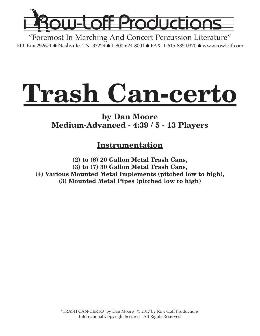

"Foremost In Marching And Concert Percussion Literature" P.O. Box 292671 ● Nashville, TN 37229 ● 1-800-624-8001 ● FAX 1-615-885-0370 ● www.rowloff.com

# **Trash Can-certo**

**by Dan Moore Medium-Advanced - 4:39 / 5 - 13 Players**

### **Instrumentation**

**(2) to (6) 20 Gallon Metal Trash Cans, (3) to (7) 30 Gallon Metal Trash Cans, (4) Various Mounted Metal Implements (pitched low to high), (3) Mounted Metal Pipes (pitched low to high)**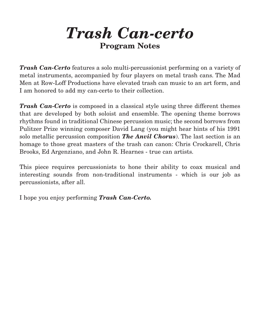*Trash Can-certo* **Program Notes**

*Trash Can-Certo* features a solo multi-percussionist performing on a variety of metal instruments, accompanied by four players on metal trash cans. The Mad Men at Row-Loff Productions have elevated trash can music to an art form, and I am honored to add my can-certo to their collection.

*Trash Can-Certo* is composed in a classical style using three different themes that are developed by both soloist and ensemble. The opening theme borrows rhythms found in traditional Chinese percussion music; the second borrows from Pulitzer Prize winning composer David Lang (you might hear hints of his 1991 solo metallic percussion composition *The Anvil Chorus*). The last section is an homage to those great masters of the trash can canon: Chris Crockarell, Chris Brooks, Ed Argenziano, and John R. Hearnes - true can artists.

This piece requires percussionists to hone their ability to coax musical and interesting sounds from non-traditional instruments - which is our job as percussionists, after all.

I hope you enjoy performing *Trash Can-Certo.*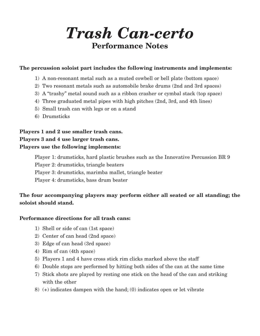*Trash Can-certo*

#### **Performance Notes**

#### **The percussion soloist part includes the following instruments and implements:**

- 1) A non-resonant metal such as a muted cowbell or bell plate (bottom space)
- 2) Two resonant metals such as automobile brake drums (2nd and 3rd spaces)
- 3) A "trashy" metal sound such as a ribbon crasher or cymbal stack (top space)
- 4) Three graduated metal pipes with high pitches (2nd, 3rd, and 4th lines)
- 5) Small trash can with legs or on a stand
- 6) Drumsticks

#### **Players 1 and 2 use smaller trash cans. Players 3 and 4 use larger trash cans. Players use the following implements:**

Player 1: drumsticks, hard plastic brushes such as the Innovative Percussion BR 9 Player 2: drumsticks, triangle beaters Player 3: drumsticks, marimba mallet, triangle beater Player 4: drumsticks, bass drum beater

#### **The four accompanying players may perform either all seated or all standing; the soloist should stand.**

#### **Performance directions for all trash cans:**

- 1) Shell or side of can (1st space)
- 2) Center of can head (2nd space)
- 3) Edge of can head (3rd space)
- 4) Rim of can (4th space)
- 5) Players 1 and 4 have cross stick rim clicks marked above the staff
- 6) Double stops are performed by hitting both sides of the can at the same time
- 7) Stick shots are played by resting one stick on the head of the can and striking with the other
- 8) (+) indicates dampen with the hand; (0) indicates open or let vibrate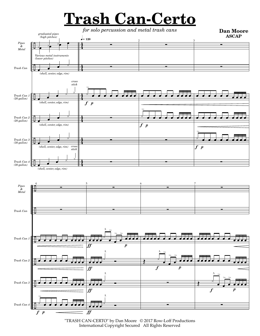### **Trash Can-Certo**



"TRASH CAN-CERTO" by Dan Moore © 2017 Row-Loff Productions International Copyright Secured All Rights Reserved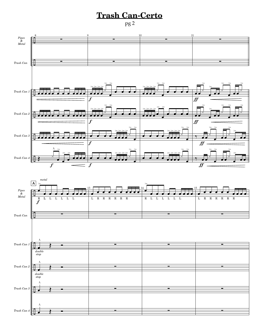#### **Trash Can-Certo**

pg 2



∑

∑

∑

÷

œ

œ  $\lambda$ 

 $\leftarrow$ 

*Trash Can 4*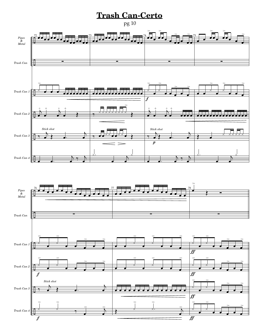#### **Trash Can-Certo**



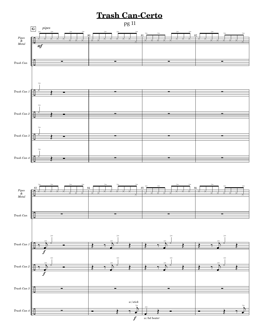